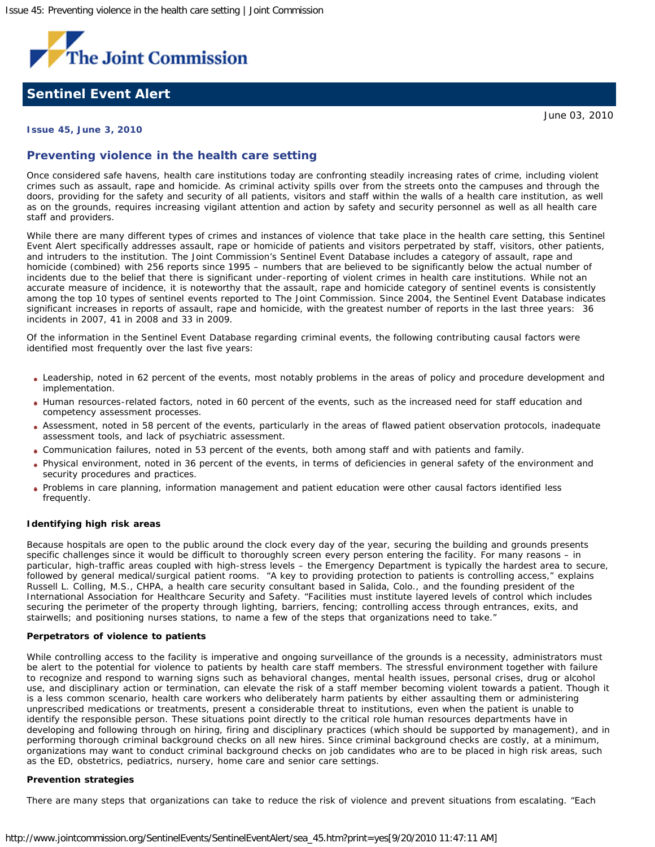

# **Sentinel Event Alert**

June 03, 2010

# **Issue 45, June 3, 2010**

# **Preventing violence in the health care setting**

Once considered safe havens, health care institutions today are confronting steadily increasing rates of crime, including violent crimes such as assault, rape and homicide. As criminal activity spills over from the streets onto the campuses and through the doors, providing for the safety and security of all patients, visitors and staff within the walls of a health care institution, as well as on the grounds, requires increasing vigilant attention and action by safety and security personnel as well as all health care staff and providers.

While there are many different types of crimes and instances of violence that take place in the health care setting, this *Sentinel Event Alert* specifically addresses assault, rape or homicide of patients and visitors perpetrated by staff, visitors, other patients, and intruders to the institution. The Joint Commission's Sentinel Event Database includes a category of assault, rape and homicide (combined) with 256 reports since 1995 – numbers that are believed to be significantly below the actual number of incidents due to the belief that there is significant under-reporting of violent crimes in health care institutions. While not an accurate measure of incidence, it is noteworthy that the assault, rape and homicide category of sentinel events is consistently among the top 10 types of sentinel events reported to The Joint Commission. Since 2004, the Sentinel Event Database indicates significant increases in reports of assault, rape and homicide, with the greatest number of reports in the last three years: 36 incidents in 2007, 41 in 2008 and 33 in 2009.

Of the information in the Sentinel Event Database regarding criminal events, the following contributing causal factors were identified most frequently over the last five years:

- Leadership, noted in 62 percent of the events, most notably problems in the areas of policy and procedure development and implementation.
- Human resources-related factors, noted in 60 percent of the events, such as the increased need for staff education and competency assessment processes.
- Assessment, noted in 58 percent of the events, particularly in the areas of flawed patient observation protocols, inadequate assessment tools, and lack of psychiatric assessment.
- Communication failures, noted in 53 percent of the events, both among staff and with patients and family.
- Physical environment, noted in 36 percent of the events, in terms of deficiencies in general safety of the environment and security procedures and practices.
- Problems in care planning, information management and patient education were other causal factors identified less frequently.

#### **Identifying high risk areas**

Because hospitals are open to the public around the clock every day of the year, securing the building and grounds presents specific challenges since it would be difficult to thoroughly screen every person entering the facility. For many reasons – in particular, high-traffic areas coupled with high-stress levels – the Emergency Department is typically the hardest area to secure, followed by general medical/surgical patient rooms. "A key to providing protection to patients is controlling access," explains Russell L. Colling, M.S., CHPA, a health care security consultant based in Salida, Colo., and the founding president of the International Association for Healthcare Security and Safety. "Facilities must institute layered levels of control which includes securing the perimeter of the property through lighting, barriers, fencing; controlling access through entrances, exits, and stairwells; and positioning nurses stations, to name a few of the steps that organizations need to take."

#### **Perpetrators of violence to patients**

While controlling access to the facility is imperative and ongoing surveillance of the grounds is a necessity, administrators must be alert to the potential for violence to patients by health care staff members. The stressful environment together with failure to recognize and respond to warning signs such as behavioral changes, mental health issues, personal crises, drug or alcohol use, and disciplinary action or termination, can elevate the risk of a staff member becoming violent towards a patient. Though it is a less common scenario, health care workers who deliberately harm patients by either assaulting them or administering unprescribed medications or treatments, present a considerable threat to institutions, even when the patient is unable to identify the responsible person. These situations point directly to the critical role human resources departments have in developing and following through on hiring, firing and disciplinary practices (which should be supported by management), and in performing thorough criminal background checks on all new hires. Since criminal background checks are costly, at a minimum, organizations may want to conduct criminal background checks on job candidates who are to be placed in high risk areas, such as the ED, obstetrics, pediatrics, nursery, home care and senior care settings.

#### **Prevention strategies**

There are many steps that organizations can take to reduce the risk of violence and prevent situations from escalating. "Each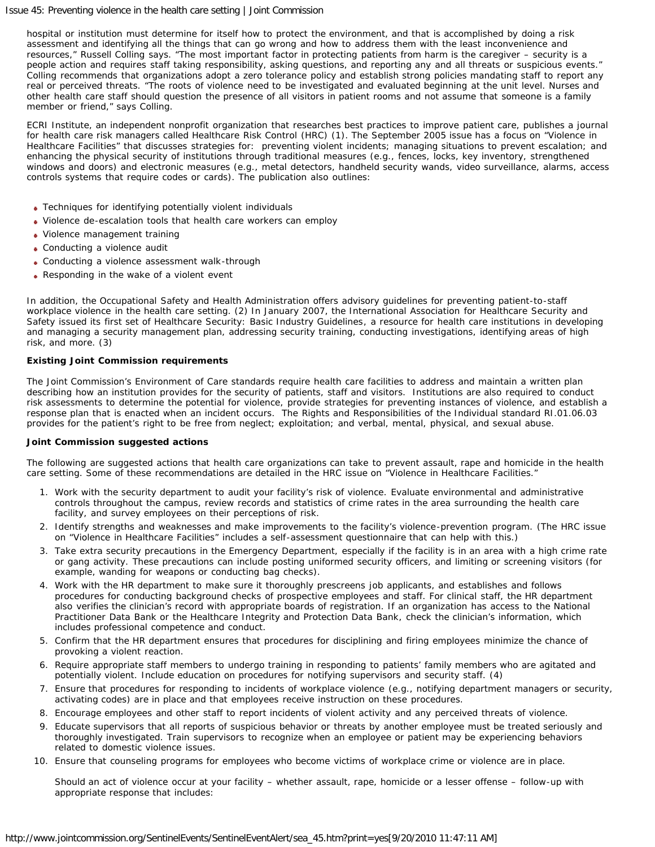## Issue 45: Preventing violence in the health care setting | Joint Commission

hospital or institution must determine for itself how to protect the environment, and that is accomplished by doing a risk assessment and identifying all the things that can go wrong and how to address them with the least inconvenience and resources," Russell Colling says. "The most important factor in protecting patients from harm is the caregiver – security is a people action and requires staff taking responsibility, asking questions, and reporting any and all threats or suspicious events." Colling recommends that organizations adopt a zero tolerance policy and establish strong policies mandating staff to report any real or perceived threats. "The roots of violence need to be investigated and evaluated beginning at the unit level. Nurses and other health care staff should question the presence of all visitors in patient rooms and not assume that someone is a family member or friend," says Colling.

ECRI Institute, an independent nonprofit organization that researches best practices to improve patient care, publishes a journal for health care risk managers called *Healthcare Risk Control (HRC)* ([1\)](#page-2-0). The September 2005 issue has a focus on "Violence in Healthcare Facilities" that discusses strategies for: preventing violent incidents; managing situations to prevent escalation; and enhancing the physical security of institutions through traditional measures (e.g., fences, locks, key inventory, strengthened windows and doors) and electronic measures (e.g., metal detectors, handheld security wands, video surveillance, alarms, access controls systems that require codes or cards). The publication also outlines:

- Techniques for identifying potentially violent individuals
- Violence de-escalation tools that health care workers can employ
- Violence management training
- Conducting a violence audit
- Conducting a violence assessment walk-through
- Responding in the wake of a violent event

In addition, the Occupational Safety and Health Administration offers advisory guidelines for preventing patient-to-staff workplace violence in the health care setting. [\(2](#page-2-1)) In January 2007, the International Association for Healthcare Security and Safety issued its first set of *Healthcare Security: Basic Industry Guidelines*, a resource for health care institutions in developing and managing a security management plan, addressing security training, conducting investigations, identifying areas of high risk, and more. [\(3](#page-2-2))

## **Existing Joint Commission requirements**

The Joint Commission's Environment of Care standards require health care facilities to address and maintain a written plan describing how an institution provides for the security of patients, staff and visitors. Institutions are also required to conduct risk assessments to determine the potential for violence, provide strategies for preventing instances of violence, and establish a response plan that is enacted when an incident occurs. The Rights and Responsibilities of the Individual standard RI.01.06.03 provides for the patient's right to be free from neglect; exploitation; and verbal, mental, physical, and sexual abuse.

## **Joint Commission suggested actions**

The following are suggested actions that health care organizations can take to prevent assault, rape and homicide in the health care setting. Some of these recommendations are detailed in the *HRC* issue on "Violence in Healthcare Facilities."

- 1. Work with the security department to audit your facility's risk of violence. Evaluate environmental and administrative controls throughout the campus, review records and statistics of crime rates in the area surrounding the health care facility, and survey employees on their perceptions of risk.
- 2. Identify strengths and weaknesses and make improvements to the facility's violence-prevention program. (The *HRC* issue on "Violence in Healthcare Facilities" includes a self-assessment questionnaire that can help with this.)
- 3. Take extra security precautions in the Emergency Department, especially if the facility is in an area with a high crime rate or gang activity. These precautions can include posting uniformed security officers, and limiting or screening visitors (for example, wanding for weapons or conducting bag checks).
- 4. Work with the HR department to make sure it thoroughly prescreens job applicants, and establishes and follows procedures for conducting background checks of prospective employees and staff. For clinical staff, the HR department also verifies the clinician's record with appropriate boards of registration. If an organization has access to the [National](http://www.npdb-hipdb.hrsa.gov/index.html) [Practitioner Data Bank or the Healthcare Integrity and Protection Data Bank](http://www.npdb-hipdb.hrsa.gov/index.html), check the clinician's information, which includes professional competence and conduct.
- 5. Confirm that the HR department ensures that procedures for disciplining and firing employees minimize the chance of provoking a violent reaction.
- 6. Require appropriate staff members to undergo training in responding to patients' family members who are agitated and potentially violent. Include education on procedures for notifying supervisors and security staff. ([4\)](#page-2-3)
- 7. Ensure that procedures for responding to incidents of workplace violence (e.g., notifying department managers or security, activating codes) are in place and that employees receive instruction on these procedures.
- 8. Encourage employees and other staff to report incidents of violent activity and any perceived threats of violence.
- 9. Educate supervisors that all reports of suspicious behavior or threats by another employee must be treated seriously and thoroughly investigated. Train supervisors to recognize when an employee or patient may be experiencing behaviors related to domestic violence issues.
- 10. Ensure that counseling programs for employees who become victims of workplace crime or violence are in place.

Should an act of violence occur at your facility – whether assault, rape, homicide or a lesser offense – follow-up with appropriate response that includes: